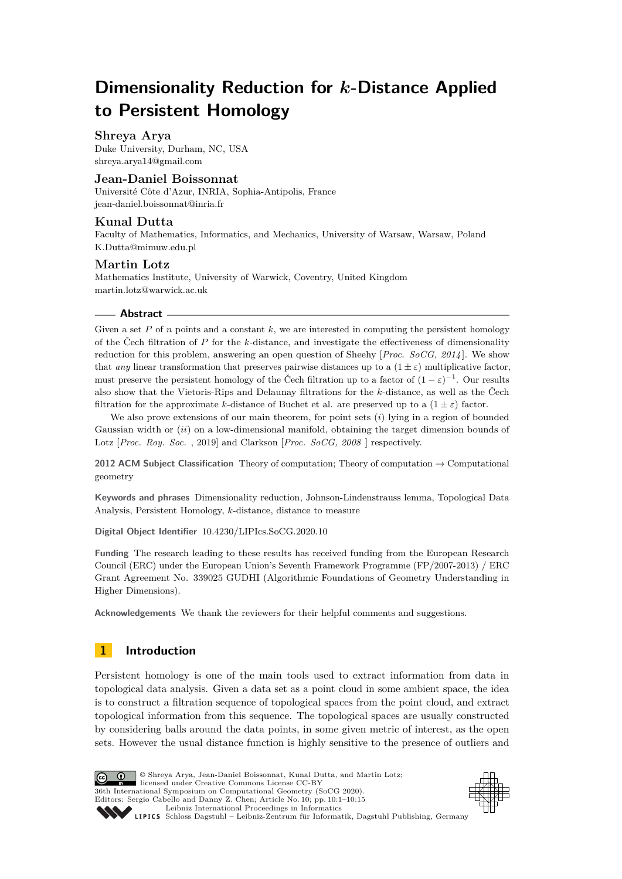# **Dimensionality Reduction for** *k***-Distance Applied to Persistent Homology**

# **Shreya Arya**

Duke University, Durham, NC, USA [shreya.arya14@gmail.com](mailto:shreya.arya14@gmail.com)

# **Jean-Daniel Boissonnat**

Université Côte d'Azur, INRIA, Sophia-Antipolis, France [jean-daniel.boissonnat@inria.fr](mailto:jean-daniel.boissonnat@inria.fr)

# **Kunal Dutta**

Faculty of Mathematics, Informatics, and Mechanics, University of Warsaw, Warsaw, Poland [K.Dutta@mimuw.edu.pl](mailto:K.Dutta@mimuw.edu.pl)

# **Martin Lotz**

Mathematics Institute, University of Warwick, Coventry, United Kingdom [martin.lotz@warwick.ac.uk](mailto:martin.lotz@warwick.ac.uk)

# **Abstract**

Given a set  $P$  of  $n$  points and a constant  $k$ , we are interested in computing the persistent homology of the Čech filtration of *P* for the *k*-distance, and investigate the effectiveness of dimensionality reduction for this problem, answering an open question of Sheehy [*Proc. SoCG, 2014* ]. We show that *any* linear transformation that preserves pairwise distances up to a  $(1 \pm \varepsilon)$  multiplicative factor, must preserve the persistent homology of the Čech filtration up to a factor of  $(1 - \varepsilon)^{-1}$ . Our results also show that the Vietoris-Rips and Delaunay filtrations for the *k*-distance, as well as the Čech filtration for the approximate *k*-distance of Buchet et al. are preserved up to a  $(1 \pm \varepsilon)$  factor.

We also prove extensions of our main theorem, for point sets (*i*) lying in a region of bounded Gaussian width or (*ii*) on a low-dimensional manifold, obtaining the target dimension bounds of Lotz [*Proc. Roy. Soc.* , 2019] and Clarkson [*Proc. SoCG, 2008* ] respectively.

**2012 ACM Subject Classification** Theory of computation; Theory of computation → Computational geometry

**Keywords and phrases** Dimensionality reduction, Johnson-Lindenstrauss lemma, Topological Data Analysis, Persistent Homology, *k*-distance, distance to measure

**Digital Object Identifier** [10.4230/LIPIcs.SoCG.2020.10](https://doi.org/10.4230/LIPIcs.SoCG.2020.10)

**Funding** The research leading to these results has received funding from the European Research Council (ERC) under the European Union's Seventh Framework Programme (FP/2007-2013) / ERC Grant Agreement No. 339025 GUDHI (Algorithmic Foundations of Geometry Understanding in Higher Dimensions).

**Acknowledgements** We thank the reviewers for their helpful comments and suggestions.

# **1 Introduction**

Persistent homology is one of the main tools used to extract information from data in topological data analysis. Given a data set as a point cloud in some ambient space, the idea is to construct a filtration sequence of topological spaces from the point cloud, and extract topological information from this sequence. The topological spaces are usually constructed by considering balls around the data points, in some given metric of interest, as the open sets. However the usual distance function is highly sensitive to the presence of outliers and



<u>ര്ര 0 </u>

licensed under Creative Commons License CC-BY 36th International Symposium on Computational Geometry (SoCG 2020). Editors: Sergio Cabello and Danny Z. Chen; Article No. 10; pp. 10:1–10[:15](#page-14-0) [Leibniz International Proceedings in Informatics](https://www.dagstuhl.de/lipics/) [Schloss Dagstuhl – Leibniz-Zentrum für Informatik, Dagstuhl Publishing, Germany](https://www.dagstuhl.de)

© Shreya Arya, Jean-Daniel Boissonnat, Kunal Dutta, and Martin Lotz;

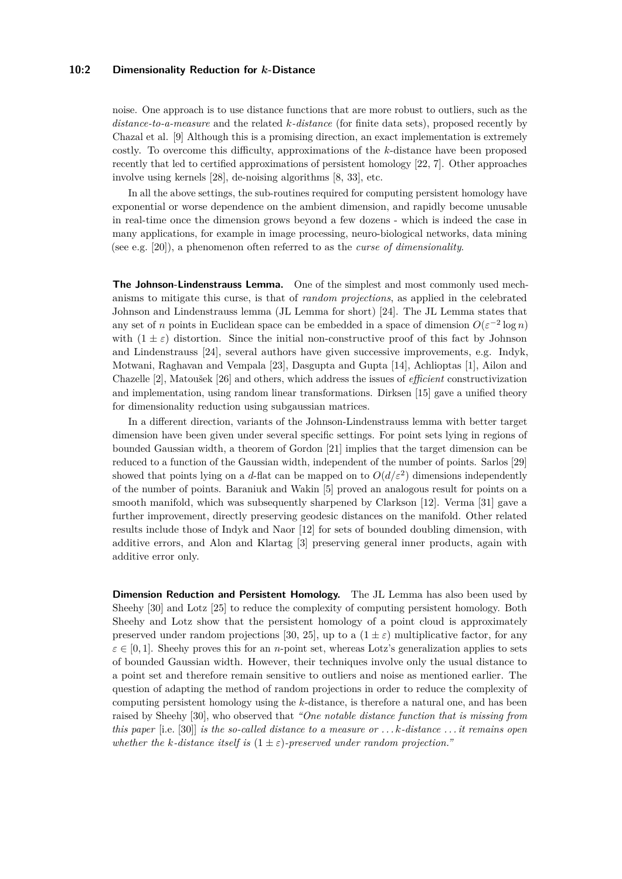#### **10:2 Dimensionality Reduction for** *k***-Distance**

noise. One approach is to use distance functions that are more robust to outliers, such as the *distance-to-a-measure* and the related *k-distance* (for finite data sets), proposed recently by Chazal et al. [\[9\]](#page-13-0) Although this is a promising direction, an exact implementation is extremely costly. To overcome this difficulty, approximations of the *k*-distance have been proposed recently that led to certified approximations of persistent homology [\[22,](#page-13-1) [7\]](#page-13-2). Other approaches involve using kernels [\[28\]](#page-14-1), de-noising algorithms [\[8,](#page-13-3) [33\]](#page-14-2), etc.

In all the above settings, the sub-routines required for computing persistent homology have exponential or worse dependence on the ambient dimension, and rapidly become unusable in real-time once the dimension grows beyond a few dozens - which is indeed the case in many applications, for example in image processing, neuro-biological networks, data mining (see e.g. [\[20\]](#page-13-4)), a phenomenon often referred to as the *curse of dimensionality*.

**The Johnson-Lindenstrauss Lemma.** One of the simplest and most commonly used mechanisms to mitigate this curse, is that of *random projections*, as applied in the celebrated Johnson and Lindenstrauss lemma (JL Lemma for short) [\[24\]](#page-14-3). The JL Lemma states that any set of *n* points in Euclidean space can be embedded in a space of dimension  $O(\varepsilon^{-2} \log n)$ with  $(1 \pm \varepsilon)$  distortion. Since the initial non-constructive proof of this fact by Johnson and Lindenstrauss [\[24\]](#page-14-3), several authors have given successive improvements, e.g. Indyk, Motwani, Raghavan and Vempala [\[23\]](#page-13-5), Dasgupta and Gupta [\[14\]](#page-13-6), Achlioptas [\[1\]](#page-12-0), Ailon and Chazelle [\[2\]](#page-12-1), Matoušek [\[26\]](#page-14-4) and others, which address the issues of *efficient* constructivization and implementation, using random linear transformations. Dirksen [\[15\]](#page-13-7) gave a unified theory for dimensionality reduction using subgaussian matrices.

In a different direction, variants of the Johnson-Lindenstrauss lemma with better target dimension have been given under several specific settings. For point sets lying in regions of bounded Gaussian width, a theorem of Gordon [\[21\]](#page-13-8) implies that the target dimension can be reduced to a function of the Gaussian width, independent of the number of points. Sarlos [\[29\]](#page-14-5) showed that points lying on a *d*-flat can be mapped on to  $O(d/\varepsilon^2)$  dimensions independently of the number of points. Baraniuk and Wakin [\[5\]](#page-13-9) proved an analogous result for points on a smooth manifold, which was subsequently sharpened by Clarkson [\[12\]](#page-13-10). Verma [\[31\]](#page-14-6) gave a further improvement, directly preserving geodesic distances on the manifold. Other related results include those of Indyk and Naor [\[12\]](#page-13-10) for sets of bounded doubling dimension, with additive errors, and Alon and Klartag [\[3\]](#page-12-2) preserving general inner products, again with additive error only.

**Dimension Reduction and Persistent Homology.** The JL Lemma has also been used by Sheehy [\[30\]](#page-14-7) and Lotz [\[25\]](#page-14-8) to reduce the complexity of computing persistent homology. Both Sheehy and Lotz show that the persistent homology of a point cloud is approximately preserved under random projections [\[30,](#page-14-7) [25\]](#page-14-8), up to a  $(1 \pm \varepsilon)$  multiplicative factor, for any  $\varepsilon \in [0, 1]$ . Sheehy proves this for an *n*-point set, whereas Lotz's generalization applies to sets of bounded Gaussian width. However, their techniques involve only the usual distance to a point set and therefore remain sensitive to outliers and noise as mentioned earlier. The question of adapting the method of random projections in order to reduce the complexity of computing persistent homology using the *k*-distance, is therefore a natural one, and has been raised by Sheehy [\[30\]](#page-14-7), who observed that *"One notable distance function that is missing from this paper* [i.e. [\[30\]](#page-14-7)] *is the so-called distance to a measure or . . . k-distance . . . it remains open whether the k-distance itself is*  $(1 \pm \varepsilon)$ -preserved under random projection."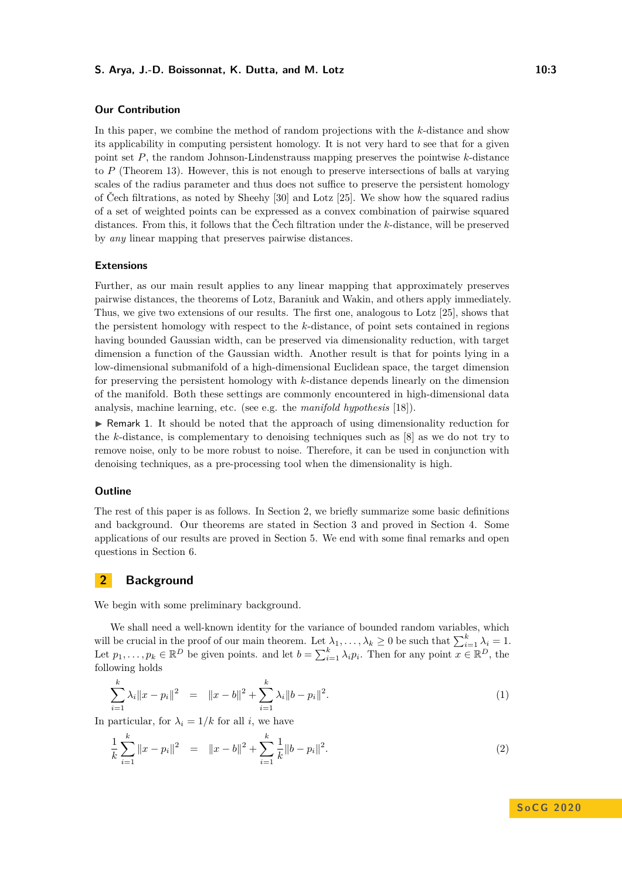## **S. Arya, J.-D. Boissonnat, K. Dutta, and M. Lotz 10:3 10:3**

# **Our Contribution**

In this paper, we combine the method of random projections with the *k*-distance and show its applicability in computing persistent homology. It is not very hard to see that for a given point set *P*, the random Johnson-Lindenstrauss mapping preserves the pointwise *k*-distance to *P* (Theorem [13\)](#page-7-0). However, this is not enough to preserve intersections of balls at varying scales of the radius parameter and thus does not suffice to preserve the persistent homology of Čech filtrations, as noted by Sheehy [\[30\]](#page-14-7) and Lotz [\[25\]](#page-14-8). We show how the squared radius of a set of weighted points can be expressed as a convex combination of pairwise squared distances. From this, it follows that the Čech filtration under the *k*-distance, will be preserved by *any* linear mapping that preserves pairwise distances.

#### **Extensions**

Further, as our main result applies to any linear mapping that approximately preserves pairwise distances, the theorems of Lotz, Baraniuk and Wakin, and others apply immediately. Thus, we give two extensions of our results. The first one, analogous to Lotz [\[25\]](#page-14-8), shows that the persistent homology with respect to the *k*-distance, of point sets contained in regions having bounded Gaussian width, can be preserved via dimensionality reduction, with target dimension a function of the Gaussian width. Another result is that for points lying in a low-dimensional submanifold of a high-dimensional Euclidean space, the target dimension for preserving the persistent homology with *k*-distance depends linearly on the dimension of the manifold. Both these settings are commonly encountered in high-dimensional data analysis, machine learning, etc. (see e.g. the *manifold hypothesis* [\[18\]](#page-13-11)).

 $\blacktriangleright$  Remark 1. It should be noted that the approach of using dimensionality reduction for the *k*-distance, is complementary to denoising techniques such as [\[8\]](#page-13-3) as we do not try to remove noise, only to be more robust to noise. Therefore, it can be used in conjunction with denoising techniques, as a pre-processing tool when the dimensionality is high.

#### **Outline**

The rest of this paper is as follows. In Section [2,](#page-2-0) we briefly summarize some basic definitions and background. Our theorems are stated in Section [3](#page-7-1) and proved in Section [4.](#page-8-0) Some applications of our results are proved in Section [5.](#page-10-0) We end with some final remarks and open questions in Section [6.](#page-12-3)

# <span id="page-2-0"></span>**2 Background**

We begin with some preliminary background.

We shall need a well-known identity for the variance of bounded random variables, which will be crucial in the proof of our main theorem. Let  $\lambda_1, \ldots, \lambda_k \geq 0$  be such that  $\sum_{i=1}^k \lambda_i = 1$ . Let  $p_1, \ldots, p_k \in \mathbb{R}^D$  be given points. and let  $b = \sum_{i=1}^k \lambda_i p_i$ . Then for any point  $x \in \mathbb{R}^D$ , the following holds

$$
\sum_{i=1}^{k} \lambda_i \|x - p_i\|^2 = \|x - b\|^2 + \sum_{i=1}^{k} \lambda_i \|b - p_i\|^2.
$$
 (1)

In particular, for  $\lambda_i = 1/k$  for all *i*, we have

<span id="page-2-1"></span>
$$
\frac{1}{k}\sum_{i=1}^{k}||x-p_i||^2 = ||x-b||^2 + \sum_{i=1}^{k}\frac{1}{k}||b-p_i||^2.
$$
\n(2)

**S o C G 2 0 2 0**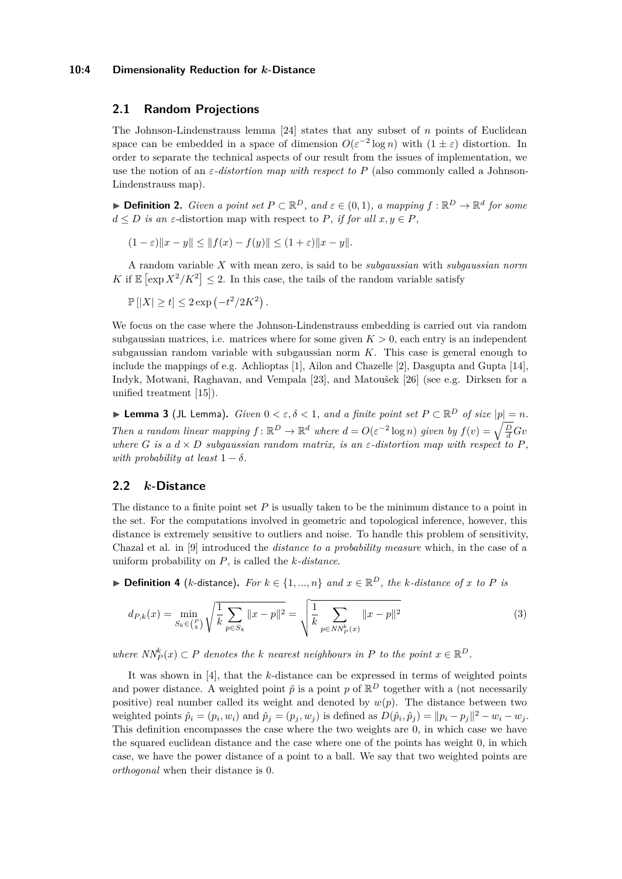#### **10:4 Dimensionality Reduction for** *k***-Distance**

# **2.1 Random Projections**

The Johnson-Lindenstrauss lemma [\[24\]](#page-14-3) states that any subset of *n* points of Euclidean space can be embedded in a space of dimension  $O(\varepsilon^{-2} \log n)$  with  $(1 \pm \varepsilon)$  distortion. In order to separate the technical aspects of our result from the issues of implementation, we use the notion of an  $\varepsilon$ -distortion map with respect to P (also commonly called a Johnson-Lindenstrauss map).

**► Definition 2.** *Given a point set*  $P \subset \mathbb{R}^D$ *, and*  $\varepsilon \in (0,1)$ *, a mapping*  $f : \mathbb{R}^D \to \mathbb{R}^d$  for some  $d \leq D$  *is an*  $\varepsilon$ -distortion map with respect to *P, if for all*  $x, y \in P$ *,* 

$$
(1 - \varepsilon) \|x - y\| \le \|f(x) - f(y)\| \le (1 + \varepsilon) \|x - y\|.
$$

A random variable *X* with mean zero, is said to be *subgaussian* with *subgaussian norm* K if  $\mathbb{E} \left[ \exp X^2 / K^2 \right] \leq 2$ . In this case, the tails of the random variable satisfy

 $\mathbb{P}[|X| \ge t] \le 2 \exp(-t^2/2K^2).$ 

We focus on the case where the Johnson-Lindenstrauss embedding is carried out via random subgaussian matrices, i.e. matrices where for some given  $K > 0$ , each entry is an independent subgaussian random variable with subgaussian norm *K*. This case is general enough to include the mappings of e.g. Achlioptas [\[1\]](#page-12-0), Ailon and Chazelle [\[2\]](#page-12-1), Dasgupta and Gupta [\[14\]](#page-13-6), Indyk, Motwani, Raghavan, and Vempala [\[23\]](#page-13-5), and Matoušek [\[26\]](#page-14-4) (see e.g. Dirksen for a unified treatment [\[15\]](#page-13-7)).

<span id="page-3-0"></span>**► Lemma 3** (JL Lemma). *Given*  $0 < \varepsilon, \delta < 1$ , and a finite point set  $P \subset \mathbb{R}^D$  of size  $|p| = n$ . *Then a random linear mapping*  $f: \mathbb{R}^D \to \mathbb{R}^d$  where  $d = O(\varepsilon^{-2} \log n)$  given by  $f(v) = \sqrt{\frac{D}{d}}Gv$ *where G is a*  $d \times D$  *subgaussian random matrix, is an*  $\varepsilon$ -distortion map with respect to P, *with probability at least*  $1 - \delta$ *.* 

# <span id="page-3-1"></span>**2.2** *k***-Distance**

The distance to a finite point set *P* is usually taken to be the minimum distance to a point in the set. For the computations involved in geometric and topological inference, however, this distance is extremely sensitive to outliers and noise. To handle this problem of sensitivity, Chazal et al. in [\[9\]](#page-13-0) introduced the *distance to a probability measure* which, in the case of a uniform probability on *P*, is called the *k-distance*.

▶ **Definition 4** (*k*-distance). For  $k \in \{1, ..., n\}$  and  $x \in \mathbb{R}^D$ , the *k*-distance of *x* to *P* is

$$
d_{P,k}(x) = \min_{S_k \in \binom{P}{k}} \sqrt{\frac{1}{k} \sum_{p \in S_k} ||x - p||^2} = \sqrt{\frac{1}{k} \sum_{p \in NN_P^k(x)} ||x - p||^2}
$$
(3)

*where*  $NN_P^k(x) \subset P$  *denotes the k nearest neighbours in P to the point*  $x \in \mathbb{R}^D$ *.* 

It was shown in [\[4\]](#page-13-12), that the *k*-distance can be expressed in terms of weighted points and power distance. A weighted point  $\hat{p}$  is a point p of  $\mathbb{R}^D$  together with a (not necessarily positive) real number called its weight and denoted by  $w(p)$ . The distance between two weighted points  $\hat{p}_i = (p_i, w_i)$  and  $\hat{p}_j = (p_j, w_j)$  is defined as  $D(\hat{p}_i, \hat{p}_j) = ||p_i - p_j||^2 - w_i - w_j$ . This definition encompasses the case where the two weights are 0, in which case we have the squared euclidean distance and the case where one of the points has weight 0, in which case, we have the power distance of a point to a ball. We say that two weighted points are *orthogonal* when their distance is 0.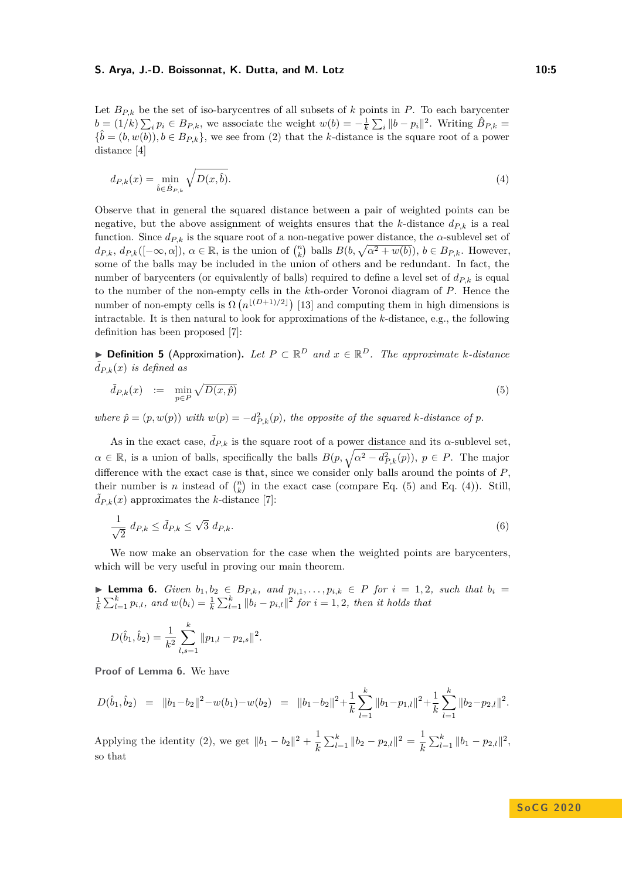#### **S. Arya, J.-D. Boissonnat, K. Dutta, and M. Lotz 10:5** 10:5

Let  $B_{P,k}$  be the set of iso-barycentres of all subsets of *k* points in *P*. To each barycenter  $b = (1/k) \sum_i p_i \in B_{P,k}$ , we associate the weight  $w(b) = -\frac{1}{k} \sum_i ||b - p_i||^2$ . Writing  $\hat{B}_{P,k} =$  ${\hat{b} = (b, w(b))}, b \in B_{P,k}$ , we see from [\(2\)](#page-2-1) that the *k*-distance is the square root of a power distance [\[4\]](#page-13-12)

<span id="page-4-1"></span>
$$
d_{P,k}(x) = \min_{\hat{b} \in \hat{B}_{P,k}} \sqrt{D(x,\hat{b})}.
$$
\n(4)

Observe that in general the squared distance between a pair of weighted points can be negative, but the above assignment of weights ensures that the *k*-distance  $d_{P,k}$  is a real function. Since  $d_{P,k}$  is the square root of a non-negative power distance, the  $\alpha$ -sublevel set of  $d_{P,k}, d_{P,k}([-\infty, \alpha]), \alpha \in \mathbb{R}$ , is the union of  $\binom{n}{k}$  balls  $B(b, \sqrt{\alpha^2 + w(b)})$ ,  $b \in B_{P,k}$ . However, some of the balls may be included in the union of others and be redundant. In fact, the number of barycenters (or equivalently of balls) required to define a level set of  $d_{P,k}$  is equal to the number of the non-empty cells in the *k*th-order Voronoi diagram of *P*. Hence the number of non-empty cells is  $\Omega(n^{\lfloor (D+1)/2 \rfloor})$  [\[13\]](#page-13-13) and computing them in high dimensions is intractable. It is then natural to look for approximations of the *k*-distance, e.g., the following definition has been proposed [\[7\]](#page-13-2):

▶ **Definition 5** (Approximation). Let  $P \subset \mathbb{R}^D$  and  $x \in \mathbb{R}^D$ . The approximate *k*-distance  $\ddot{d}_{P,k}(x)$  *is defined as* 

<span id="page-4-0"></span>
$$
\tilde{d}_{P,k}(x) := \min_{p \in P} \sqrt{D(x,\hat{p})} \tag{5}
$$

*where*  $\hat{p} = (p, w(p))$  *with*  $w(p) = -d_{P,k}^2(p)$ *, the opposite of the squared k-distance of p*.

As in the exact case,  $\tilde{d}_{P,k}$  is the square root of a power distance and its *α*-sublevel set,  $\alpha \in \mathbb{R}$ , is a union of balls, specifically the balls  $B(p, \sqrt{\alpha^2 - d_{P,k}^2(p)})$ ,  $p \in P$ . The major difference with the exact case is that, since we consider only balls around the points of *P*, their number is *n* instead of  $\binom{n}{k}$  in the exact case (compare Eq. [\(5\)](#page-4-0) and Eq. [\(4\)](#page-4-1)). Still,  $d_{P,k}(x)$  approximates the *k*-distance [\[7\]](#page-13-2):

<span id="page-4-3"></span>
$$
\frac{1}{\sqrt{2}} d_{P,k} \le \tilde{d}_{P,k} \le \sqrt{3} d_{P,k}.\tag{6}
$$

We now make an observation for the case when the weighted points are barycenters, which will be very useful in proving our main theorem.

<span id="page-4-2"></span>▶ **Lemma 6.** *Given*  $b_1, b_2 \in B_{P,k}$ *, and*  $p_{i,1}, \ldots, p_{i,k} \in P$  *for*  $i = 1, 2$ *, such that*  $b_i =$  $\frac{1}{k}\sum_{l=1}^{k} p_{i,l}$ , and  $w(b_i) = \frac{1}{k}\sum_{l=1}^{k} ||b_i - p_{i,l}||^2$  for  $i = 1, 2$ , then it holds that

$$
D(\hat{b}_1, \hat{b}_2) = \frac{1}{k^2} \sum_{l,s=1}^k ||p_{1,l} - p_{2,s}||^2.
$$

**Proof of Lemma [6.](#page-4-2)** We have

$$
D(\hat{b}_1, \hat{b}_2) = ||b_1 - b_2||^2 - w(b_1) - w(b_2) = ||b_1 - b_2||^2 + \frac{1}{k} \sum_{l=1}^k ||b_1 - p_{1,l}||^2 + \frac{1}{k} \sum_{l=1}^k ||b_2 - p_{2,l}||^2.
$$

Applying the identity [\(2\)](#page-2-1), we get  $||b_1 - b_2||^2 + \frac{1}{\mu}$  $\frac{1}{k} \sum_{l=1}^{k} ||b_2 - p_{2,l}||^2 = \frac{1}{k}$  $\frac{1}{k} \sum_{l=1}^{k} ||b_1 - p_{2,l}||^2$ so that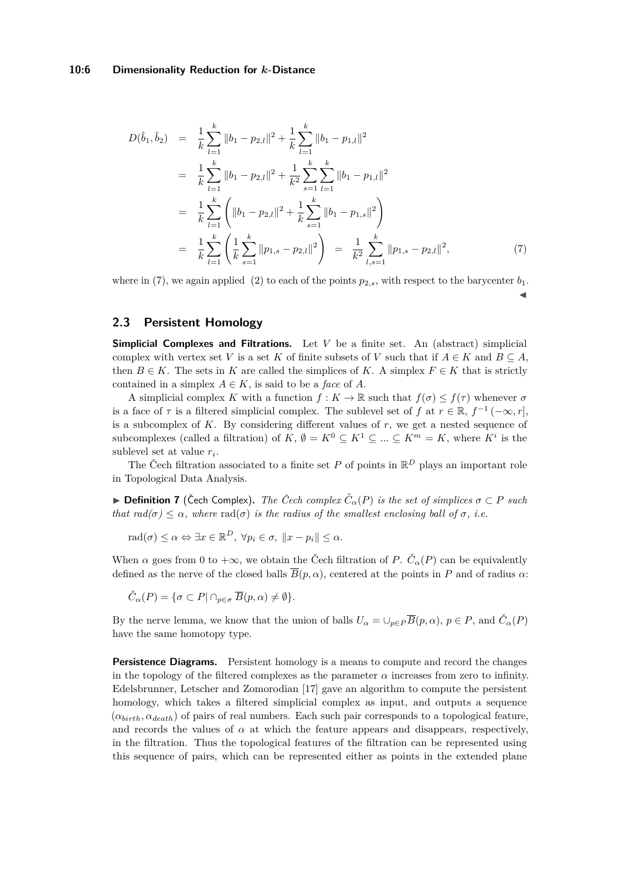#### **10:6 Dimensionality Reduction for** *k***-Distance**

<span id="page-5-0"></span>
$$
D(\hat{b}_1, \hat{b}_2) = \frac{1}{k} \sum_{l=1}^k \|b_l - p_{2,l}\|^2 + \frac{1}{k} \sum_{l=1}^k \|b_l - p_{1,l}\|^2
$$
  
\n
$$
= \frac{1}{k} \sum_{l=1}^k \|b_l - p_{2,l}\|^2 + \frac{1}{k^2} \sum_{s=1}^k \sum_{l=1}^k \|b_l - p_{1,l}\|^2
$$
  
\n
$$
= \frac{1}{k} \sum_{l=1}^k \left( \|b_l - p_{2,l}\|^2 + \frac{1}{k} \sum_{s=1}^k \|b_l - p_{1,s}\|^2 \right)
$$
  
\n
$$
= \frac{1}{k} \sum_{l=1}^k \left( \frac{1}{k} \sum_{s=1}^k \|p_{1,s} - p_{2,l}\|^2 \right) = \frac{1}{k^2} \sum_{l,s=1}^k \|p_{1,s} - p_{2,l}\|^2,
$$
 (7)

where in [\(7\)](#page-5-0), we again applied [\(2\)](#page-2-1) to each of the points  $p_{2,s}$ , with respect to the barycenter  $b_1$ .

 $\overline{\mathbf{A}}$ 

# <span id="page-5-1"></span>**2.3 Persistent Homology**

**Simplicial Complexes and Filtrations.** Let *V* be a finite set. An (abstract) simplicial complex with vertex set *V* is a set *K* of finite subsets of *V* such that if  $A \in K$  and  $B \subseteq A$ , then  $B \in K$ . The sets in K are called the simplices of K. A simplex  $F \in K$  that is strictly contained in a simplex  $A \in K$ , is said to be a *face* of *A*.

A simplicial complex *K* with a function  $f: K \to \mathbb{R}$  such that  $f(\sigma) \leq f(\tau)$  whenever  $\sigma$ is a face of  $\tau$  is a filtered simplicial complex. The sublevel set of  $f$  at  $r \in \mathbb{R}$ ,  $f^{-1}(-\infty, r]$ , is a subcomplex of *K*. By considering different values of *r*, we get a nested sequence of subcomplexes (called a filtration) of  $K, \emptyset = K^0 \subseteq K^1 \subseteq ... \subseteq K^m = K$ , where  $K^i$  is the sublevel set at value *r<sup>i</sup>* .

The Čech filtration associated to a finite set  $P$  of points in  $\mathbb{R}^D$  plays an important role in Topological Data Analysis.

 $▶$  **Definition 7** (Čech Complex). *The Čech complex*  $\check{C}_{\alpha}(P)$  *is the set of simplices*  $σ ⊂ P$  *such that rad(* $\sigma$ )  $\leq \alpha$ *, where* rad( $\sigma$ ) *is the radius of the smallest enclosing ball of*  $\sigma$ *, i.e.* 

$$
\mathrm{rad}(\sigma) \leq \alpha \Leftrightarrow \exists x \in \mathbb{R}^D, \ \forall p_i \in \sigma, \ \|x - p_i\| \leq \alpha.
$$

When  $\alpha$  goes from 0 to  $+\infty$ , we obtain the Čech filtration of *P*.  $\check{C}_{\alpha}(P)$  can be equivalently defined as the nerve of the closed balls  $\overline{B}(p,\alpha)$ , centered at the points in *P* and of radius  $\alpha$ :

$$
\check{C}_{\alpha}(P) = \{ \sigma \subset P \mid \cap_{p \in \sigma} \overline{B}(p, \alpha) \neq \emptyset \}.
$$

By the nerve lemma, we know that the union of balls  $U_{\alpha} = \cup_{p \in P} \overline{B}(p, \alpha)$ ,  $p \in P$ , and  $\check{C}_{\alpha}(P)$ have the same homotopy type.

**Persistence Diagrams.** Persistent homology is a means to compute and record the changes in the topology of the filtered complexes as the parameter  $\alpha$  increases from zero to infinity. Edelsbrunner, Letscher and Zomorodian [\[17\]](#page-13-14) gave an algorithm to compute the persistent homology, which takes a filtered simplicial complex as input, and outputs a sequence (*αbirth, αdeath*) of pairs of real numbers. Each such pair corresponds to a topological feature, and records the values of  $\alpha$  at which the feature appears and disappears, respectively, in the filtration. Thus the topological features of the filtration can be represented using this sequence of pairs, which can be represented either as points in the extended plane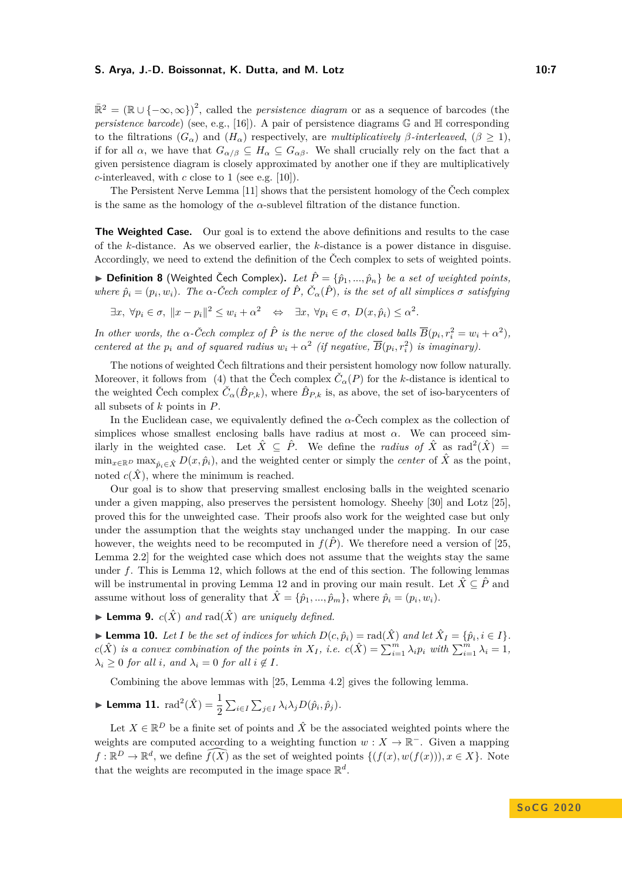## **S. Arya, J.-D. Boissonnat, K. Dutta, and M. Lotz 10:7** 10:7

 $\mathbb{R}^2 = (\mathbb{R} \cup \{-\infty, \infty\})^2$ , called the *persistence diagram* or as a sequence of barcodes (the *persistence barcode*) (see, e.g., [\[16\]](#page-13-15)). A pair of persistence diagrams G and H corresponding to the filtrations  $(G_{\alpha})$  and  $(H_{\alpha})$  respectively, are *multiplicatively*  $\beta$ -interleaved,  $(\beta \geq 1)$ , if for all  $\alpha$ , we have that  $G_{\alpha/\beta} \subseteq H_{\alpha} \subseteq G_{\alpha\beta}$ . We shall crucially rely on the fact that a given persistence diagram is closely approximated by another one if they are multiplicatively *c*-interleaved, with *c* close to 1 (see e.g. [\[10\]](#page-13-16)).

The Persistent Nerve Lemma [\[11\]](#page-13-17) shows that the persistent homology of the Čech complex is the same as the homology of the  $\alpha$ -sublevel filtration of the distance function.

**The Weighted Case.** Our goal is to extend the above definitions and results to the case of the *k*-distance. As we observed earlier, the *k*-distance is a power distance in disguise. Accordingly, we need to extend the definition of the Čech complex to sets of weighted points.

 $\triangleright$  **Definition 8** (Weighted Čech Complex). Let  $\hat{P} = \{\hat{p}_1, ..., \hat{p}_n\}$  be a set of weighted points, where  $\hat{p}_i = (p_i, w_i)$ . The  $\alpha$ -Čech complex of  $\hat{P}$ ,  $\check{C}_{\alpha}(\hat{P})$ , is the set of all simplices  $\sigma$  satisfying

 $\exists x, \forall p_i \in \sigma, \|x - p_i\|^2 \le w_i + \alpha^2 \quad \Leftrightarrow \quad \exists x, \forall p_i \in \sigma, \ D(x, \hat{p}_i) \le \alpha^2.$ 

*In other words, the*  $\alpha$ -Čech complex of  $\hat{P}$  *is the nerve of the closed balls*  $\overline{B}(p_i, r_i^2 = w_i + \alpha^2)$ *, centered at the*  $p_i$  *and of squared radius*  $w_i + \alpha^2$  (*if negative*,  $\overline{B}(p_i, r_i^2)$  *is imaginary*).

The notions of weighted Čech filtrations and their persistent homology now follow naturally. Moreover, it follows from [\(4\)](#page-4-1) that the Čech complex  $\check{C}_{\alpha}(P)$  for the *k*-distance is identical to the weighted Čech complex  $\check{C}_{\alpha}(\hat{B}_{P,k})$ , where  $\hat{B}_{P,k}$  is, as above, the set of iso-barycenters of all subsets of *k* points in *P*.

In the Euclidean case, we equivalently defined the  $\alpha$ -Čech complex as the collection of simplices whose smallest enclosing balls have radius at most  $\alpha$ . We can proceed similarly in the weighted case. Let  $\hat{X} \subseteq \hat{P}$ . We define the *radius of*  $\hat{X}$  as  $\text{rad}^2(\hat{X}) =$  $\min_{x \in \mathbb{R}^D} \max_{\hat{p}_i \in \hat{X}} D(x, \hat{p}_i)$ , and the weighted center or simply the *center* of  $\hat{X}$  as the point, noted  $c(\hat{X})$ , where the minimum is reached.

Our goal is to show that preserving smallest enclosing balls in the weighted scenario under a given mapping, also preserves the persistent homology. Sheehy [\[30\]](#page-14-7) and Lotz [\[25\]](#page-14-8), proved this for the unweighted case. Their proofs also work for the weighted case but only under the assumption that the weights stay unchanged under the mapping. In our case however, the weights need to be recomputed in  $f(\hat{P})$ . We therefore need a version of [\[25,](#page-14-8) Lemma 2.2] for the weighted case which does not assume that the weights stay the same under *f*. This is Lemma [12,](#page-7-2) which follows at the end of this section. The following lemmas will be instrumental in proving Lemma [12](#page-7-2) and in proving our main result. Let  $\hat{X} \subseteq \hat{P}$  and assume without loss of generality that  $\hat{X} = \{\hat{p}_1, ..., \hat{p}_m\}$ , where  $\hat{p}_i = (p_i, w_i)$ .

<span id="page-6-0"></span>**I Lemma 9.**  $c(\hat{X})$  and  $\text{rad}(\hat{X})$  are uniquely defined.

<span id="page-6-1"></span>► **Lemma 10.** *Let I be the set of indices for which*  $D(c, \hat{p}_i) = \text{rad}(\hat{X})$  *and let*  $\hat{X}_I = \{\hat{p}_i, i \in I\}$ *.*  $c(\hat{X})$  is a convex combination of the points in  $X_I$ , i.e.  $c(\hat{X}) = \sum_{i=1}^m \lambda_i p_i$  with  $\sum_{i=1}^m \lambda_i = 1$ ,  $\lambda_i \geq 0$  *for all i*, and  $\lambda_i = 0$  *for all*  $i \notin I$ *.* 

Combining the above lemmas with [\[25,](#page-14-8) Lemma 4.2] gives the following lemma.

<span id="page-6-2"></span>
$$
\blacktriangleright \textbf{Lemma 11.} \ \mathrm{rad}^2(\hat{X}) = \frac{1}{2} \sum_{i \in I} \sum_{j \in I} \lambda_i \lambda_j D(\hat{p}_i, \hat{p}_j).
$$

Let  $X \in \mathbb{R}^D$  be a finite set of points and  $\hat{X}$  be the associated weighted points where the weights are computed according to a weighting function  $w : X \to \mathbb{R}^-$ . Given a mapping  $f: \mathbb{R}^D \to \mathbb{R}^d$ , we define  $\widehat{f(X)}$  as the set of weighted points  $\{(f(x), w(f(x))), x \in X\}$ . Note that the weights are recomputed in the image space  $\mathbb{R}^d$ .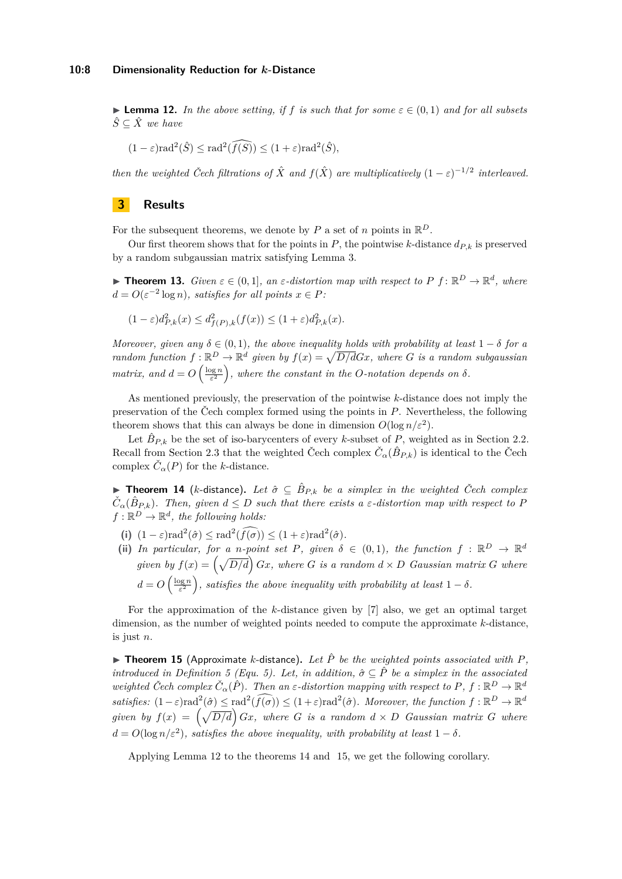<span id="page-7-2"></span>**► Lemma 12.** In the above setting, if f is such that for some  $\varepsilon \in (0,1)$  and for all subsets  $\hat{S}$  ⊂  $\hat{X}$  *we have* 

$$
(1 - \varepsilon) \operatorname{rad}^2(\hat{S}) \le \operatorname{rad}^2(\widehat{f(S)}) \le (1 + \varepsilon) \operatorname{rad}^2(\hat{S}),
$$

*then the weighted Čech filtrations of*  $\hat{X}$  *and*  $f(\hat{X})$  *are multiplicatively*  $(1 - \varepsilon)^{-1/2}$  *interleaved.* 

# <span id="page-7-1"></span>**3 Results**

For the subsequent theorems, we denote by  $P$  a set of  $n$  points in  $\mathbb{R}^D$ .

Our first theorem shows that for the points in  $P$ , the pointwise  $k$ -distance  $d_{P,k}$  is preserved by a random subgaussian matrix satisfying Lemma [3.](#page-3-0)

<span id="page-7-0"></span>**Figure 13.** *Given*  $\varepsilon \in (0,1]$ *, an*  $\varepsilon$ -distortion map with respect to P  $f: \mathbb{R}^D \to \mathbb{R}^d$ *, where*  $d = O(\varepsilon^{-2} \log n)$ *, satisfies for all points*  $x \in P$ *:* 

$$
(1 - \varepsilon)d_{P,k}^2(x) \le d_{f(P),k}^2(f(x)) \le (1 + \varepsilon)d_{P,k}^2(x).
$$

*Moreover, given any*  $\delta \in (0,1)$ *, the above inequality holds with probability at least*  $1 - \delta$  *for a random function*  $f: \mathbb{R}^D \to \mathbb{R}^d$  given by  $f(x) = \sqrt{D/d}Gx$ , where G is a random subgaussian *matrix, and*  $d = O\left(\frac{\log n}{\varepsilon^2}\right)$ , where the constant in the *O*-notation depends on  $\delta$ .

As mentioned previously, the preservation of the pointwise *k*-distance does not imply the preservation of the Čech complex formed using the points in *P*. Nevertheless, the following theorem shows that this can always be done in dimension  $O(\log n/\varepsilon^2)$ .

Let  $\hat{B}_{P,k}$  be the set of iso-barycenters of every *k*-subset of *P*, weighted as in Section [2.2.](#page-3-1) Recall from Section [2.3](#page-5-1) that the weighted Čech complex  $\check{C}_{\alpha}(\hat{B}_{P,k})$  is identical to the Čech complex  $\check{C}_{\alpha}(P)$  for the *k*-distance.

<span id="page-7-3"></span>▶ Theorem 14 (*k*-distance). Let  $\hat{\sigma} \subseteq \hat{B}_{P,k}$  be a simplex in the weighted Čech complex  $\check{C}_{\alpha}(\hat{B}_{P,k})$ . Then, given  $d \leq D$  such that there exists a  $\varepsilon$ -distortion map with respect to P  $f: \mathbb{R}^D \to \mathbb{R}^d$ , the following holds:

- (i)  $(1 \varepsilon) \text{rad}^2(\hat{\sigma}) \leq \text{rad}^2(\hat{f}(\hat{\sigma})) \leq (1 + \varepsilon) \text{rad}^2(\hat{\sigma}).$
- (ii) In particular, for a *n*-point set P, given  $\delta \in (0,1)$ , the function  $f : \mathbb{R}^D \to \mathbb{R}^d$ *given by*  $f(x) = \left(\sqrt{D/d}\right)Gx$ , where *G is a random*  $d \times D$  *Gaussian matrix G* where  $d = O\left(\frac{\log n}{\varepsilon^2}\right)$ , satisfies the above inequality with probability at least  $1 - \delta$ .

For the approximation of the *k*-distance given by [\[7\]](#page-13-2) also, we get an optimal target dimension, as the number of weighted points needed to compute the approximate *k*-distance, is just *n*.

<span id="page-7-4"></span> $\blacktriangleright$  **Theorem 15** (Approximate *k*-distance), Let  $\hat{P}$  be the weighted points associated with P. *introduced in Definition* [5](#page-4-0) (Equ. [5\)](#page-4-0). Let, in addition,  $\hat{\sigma} \subseteq \hat{P}$  be a simplex in the associated *weighted Čech complex*  $\check{C}_{\alpha}(\hat{P})$ *. Then an*  $\varepsilon$ -distortion mapping with respect to P,  $f : \mathbb{R}^D \to \mathbb{R}^d$  $satisfies: (1-\varepsilon) \text{rad}^2(\hat{\sigma}) \leq \text{rad}^2(\widehat{f(\sigma)}) \leq (1+\varepsilon) \text{rad}^2(\hat{\sigma})$ *. Moreover, the function*  $f: \mathbb{R}^D \to \mathbb{R}^d$ *given by*  $f(x) = \left(\sqrt{D/d}\right)Gx$ , where *G is a random*  $d \times D$  *Gaussian matrix G* where  $d = O(\log n/\varepsilon^2)$ , satisfies the above inequality, with probability at least  $1 - \delta$ .

Applying Lemma [12](#page-7-2) to the theorems [14](#page-7-3) and [15,](#page-7-4) we get the following corollary.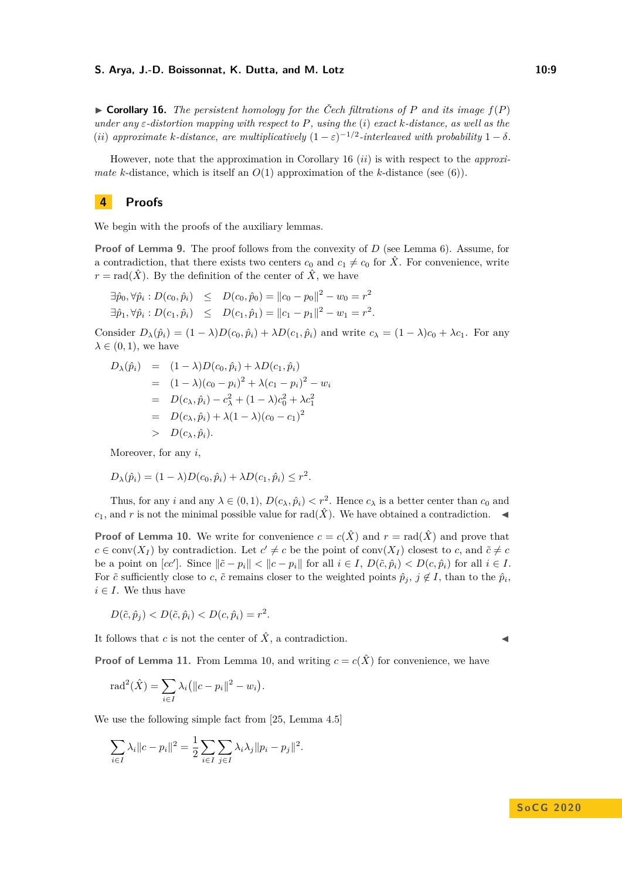#### **S. Arya, J.-D. Boissonnat, K. Dutta, and M. Lotz 10:9**

<span id="page-8-1"></span> $\triangleright$  **Corollary 16.** *The persistent homology for the Čech filtrations of P* and its image  $f(P)$ *under any ε-distortion mapping with respect to P, using the* (*i*) *exact k-distance, as well as the* (*ii*) approximate *k*-distance, are multiplicatively  $(1 - \varepsilon)^{-1/2}$ -interleaved with probability  $1 - \delta$ .

However, note that the approximation in Corollary [16](#page-8-1) (*ii*) is with respect to the *approximate k*-distance, which is itself an  $O(1)$  approximation of the *k*-distance (see [\(6\)](#page-4-3)).

# <span id="page-8-0"></span>**4 Proofs**

We begin with the proofs of the auxiliary lemmas.

**Proof of Lemma [9.](#page-6-0)** The proof follows from the convexity of *D* (see Lemma [6\)](#page-4-2). Assume, for a contradiction, that there exists two centers  $c_0$  and  $c_1 \neq c_0$  for  $\hat{X}$ . For convenience, write  $r = \text{rad}(\hat{X})$ . By the definition of the center of  $\hat{X}$ , we have

$$
\exists \hat{p}_0, \forall \hat{p}_i : D(c_0, \hat{p}_i) \leq D(c_0, \hat{p}_0) = ||c_0 - p_0||^2 - w_0 = r^2 \exists \hat{p}_1, \forall \hat{p}_i : D(c_1, \hat{p}_i) \leq D(c_1, \hat{p}_1) = ||c_1 - p_1||^2 - w_1 = r^2.
$$

Consider  $D_{\lambda}(\hat{p}_i) = (1 - \lambda)D(c_0, \hat{p}_i) + \lambda D(c_1, \hat{p}_i)$  and write  $c_{\lambda} = (1 - \lambda)c_0 + \lambda c_1$ . For any  $\lambda \in (0,1)$ , we have

$$
D_{\lambda}(\hat{p}_i) = (1 - \lambda)D(c_0, \hat{p}_i) + \lambda D(c_1, \hat{p}_i)
$$
  
\n
$$
= (1 - \lambda)(c_0 - p_i)^2 + \lambda(c_1 - p_i)^2 - w_i
$$
  
\n
$$
= D(c_{\lambda}, \hat{p}_i) - c_{\lambda}^2 + (1 - \lambda)c_0^2 + \lambda c_1^2
$$
  
\n
$$
= D(c_{\lambda}, \hat{p}_i) + \lambda(1 - \lambda)(c_0 - c_1)^2
$$
  
\n
$$
> D(c_{\lambda}, \hat{p}_i).
$$

Moreover, for any *i*,

$$
D_{\lambda}(\hat{p}_i) = (1 - \lambda)D(c_0, \hat{p}_i) + \lambda D(c_1, \hat{p}_i) \leq r^2.
$$

Thus, for any *i* and any  $\lambda \in (0,1)$ ,  $D(c_\lambda, \hat{p}_i) < r^2$ . Hence  $c_\lambda$  is a better center than  $c_0$  and  $c_1$ , and *r* is not the minimal possible value for rad( $\hat{X}$ ). We have obtained a contradiction.

**Proof of Lemma [10.](#page-6-1)** We write for convenience  $c = c(\hat{X})$  and  $r = rad(\hat{X})$  and prove that  $c \in \text{conv}(X_I)$  by contradiction. Let  $c' \neq c$  be the point of conv $(X_I)$  closest to *c*, and  $\tilde{c} \neq c$ be a point on  $[cc']$ . Since  $\|\tilde{c} - p_i\| < \|c - p_i\|$  for all  $i \in I$ ,  $D(\tilde{c}, \hat{p}_i) < D(c, \hat{p}_i)$  for all  $i \in I$ . For  $\tilde{c}$  sufficiently close to *c*,  $\tilde{c}$  remains closer to the weighted points  $\hat{p}_j$ ,  $j \notin I$ , than to the  $\hat{p}_i$ ,  $i \in I$ . We thus have

$$
D(\tilde{c}, \hat{p}_j) < D(\tilde{c}, \hat{p}_i) < D(c, \hat{p}_i) = r^2.
$$

It follows that *c* is not the center of  $\hat{X}$ , a contradiction.

**Proof of Lemma [11.](#page-6-2)** From Lemma [10,](#page-6-1) and writing  $c = c(\hat{X})$  for convenience, we have

$$
rad^{2}(\hat{X}) = \sum_{i \in I} \lambda_{i} (||c - p_{i}||^{2} - w_{i}).
$$

We use the following simple fact from [\[25,](#page-14-8) Lemma 4.5]

$$
\sum_{i \in I} \lambda_i \|c - p_i\|^2 = \frac{1}{2} \sum_{i \in I} \sum_{j \in I} \lambda_i \lambda_j \|p_i - p_j\|^2.
$$

$$
\lambda
$$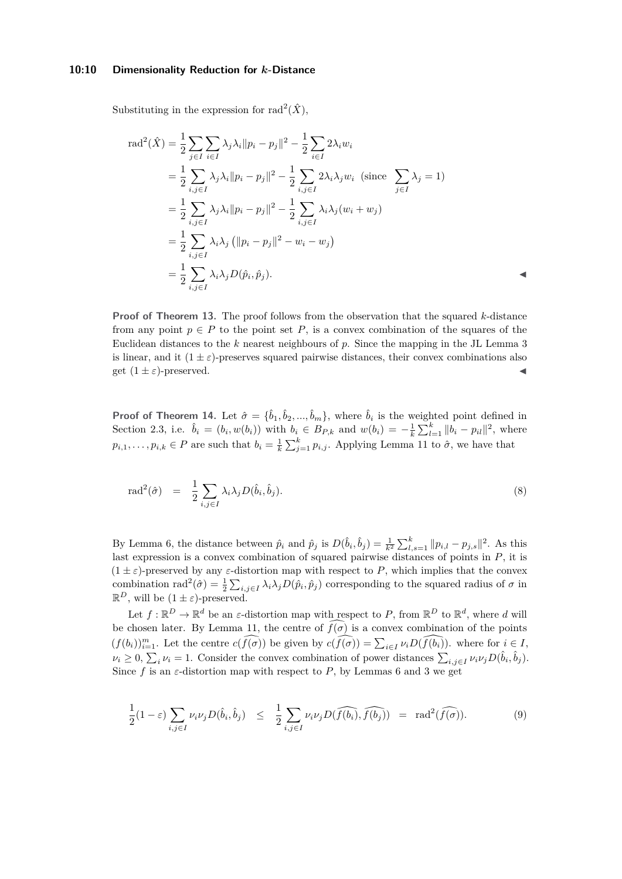#### **10:10 Dimensionality Reduction for** *k***-Distance**

Substituting in the expression for  $\text{rad}^2(\hat{X})$ ,

$$
\begin{split} \text{rad}^{2}(\hat{X}) &= \frac{1}{2} \sum_{j \in I} \sum_{i \in I} \lambda_{j} \lambda_{i} \|p_{i} - p_{j}\|^{2} - \frac{1}{2} \sum_{i \in I} 2 \lambda_{i} w_{i} \\ &= \frac{1}{2} \sum_{i,j \in I} \lambda_{j} \lambda_{i} \|p_{i} - p_{j}\|^{2} - \frac{1}{2} \sum_{i,j \in I} 2 \lambda_{i} \lambda_{j} w_{i} \text{ (since } \sum_{j \in I} \lambda_{j} = 1) \\ &= \frac{1}{2} \sum_{i,j \in I} \lambda_{j} \lambda_{i} \|p_{i} - p_{j}\|^{2} - \frac{1}{2} \sum_{i,j \in I} \lambda_{i} \lambda_{j} (w_{i} + w_{j}) \\ &= \frac{1}{2} \sum_{i,j \in I} \lambda_{i} \lambda_{j} \left( \|p_{i} - p_{j}\|^{2} - w_{i} - w_{j} \right) \\ &= \frac{1}{2} \sum_{i,j \in I} \lambda_{i} \lambda_{j} D(\hat{p}_{i}, \hat{p}_{j}). \end{split}
$$

**Proof of Theorem [13.](#page-7-0)** The proof follows from the observation that the squared *k*-distance from any point  $p \in P$  to the point set P, is a convex combination of the squares of the Euclidean distances to the *k* nearest neighbours of *p*. Since the mapping in the JL Lemma [3](#page-3-0) is linear, and it  $(1 \pm \varepsilon)$ -preserves squared pairwise distances, their convex combinations also get  $(1 \pm \varepsilon)$ -preserved.

**Proof of Theorem [14.](#page-7-3)** Let  $\hat{\sigma} = {\hat{b}_1, \hat{b}_2, ..., \hat{b}_m}$ , where  $\hat{b}_i$  is the weighted point defined in Section [2.3,](#page-5-1) i.e.  $\hat{b}_i = (b_i, w(b_i))$  with  $b_i \in B_{P,k}$  and  $w(b_i) = -\frac{1}{k} \sum_{l=1}^k ||b_i - p_{il}||^2$ , where  $p_{i,1}, \ldots, p_{i,k} \in P$  are such that  $b_i = \frac{1}{k} \sum_{j=1}^k p_{i,j}$ . Applying Lemma [11](#page-6-2) to  $\hat{\sigma}$ , we have that

$$
\text{rad}^2(\hat{\sigma}) = \frac{1}{2} \sum_{i,j \in I} \lambda_i \lambda_j D(\hat{b}_i, \hat{b}_j). \tag{8}
$$

By Lemma [6,](#page-4-2) the distance between  $\hat{p}_i$  and  $\hat{p}_j$  is  $D(\hat{b}_i, \hat{b}_j) = \frac{1}{k^2} \sum_{l,s=1}^k ||p_{i,l} - p_{j,s}||^2$ . As this last expression is a convex combination of squared pairwise distances of points in *P*, it is  $(1 \pm \varepsilon)$ -preserved by any  $\varepsilon$ -distortion map with respect to P, which implies that the convex combination rad<sup>2</sup>( $\hat{\sigma}$ ) =  $\frac{1}{2} \sum_{i,j \in I} \lambda_i \lambda_j D(\hat{p}_i, \hat{p}_j)$  corresponding to the squared radius of  $\sigma$  in  $\mathbb{R}^D$ , will be  $(1 \pm \varepsilon)$ -preserved.

Let  $f: \mathbb{R}^D \to \mathbb{R}^d$  be an *ε*-distortion map with respect to P, from  $\mathbb{R}^D$  to  $\mathbb{R}^d$ , where d will be chosen later. By Lemma [11,](#page-6-2) the centre of  $\widehat{f(\sigma)}$  is a convex combination of the points  $(f(b_i))_{i=1}^m$ . Let the centre  $c(f(\sigma))$  be given by  $c(f(\sigma)) = \sum_{i \in I} \nu_i D(f(b_i))$ , where for  $i \in I$ ,  $\nu_i \geq 0$ ,  $\sum_i \nu_i = 1$ . Consider the convex combination of power distances  $\sum_{i,j \in I} \nu_i \nu_j D(\hat{b}_i, \hat{b}_j)$ . Since  $f$  is an  $\varepsilon$ -distortion map with respect to  $P$ , by Lemmas [6](#page-4-2) and [3](#page-3-0) we get

<span id="page-9-0"></span>
$$
\frac{1}{2}(1-\varepsilon)\sum_{i,j\in I}\nu_i\nu_jD(\hat{b}_i,\hat{b}_j) \leq \frac{1}{2}\sum_{i,j\in I}\nu_i\nu_jD(\widehat{f(b_i)},\widehat{f(b_j)}) = \text{rad}^2(\widehat{f(\sigma)}).
$$
\n(9)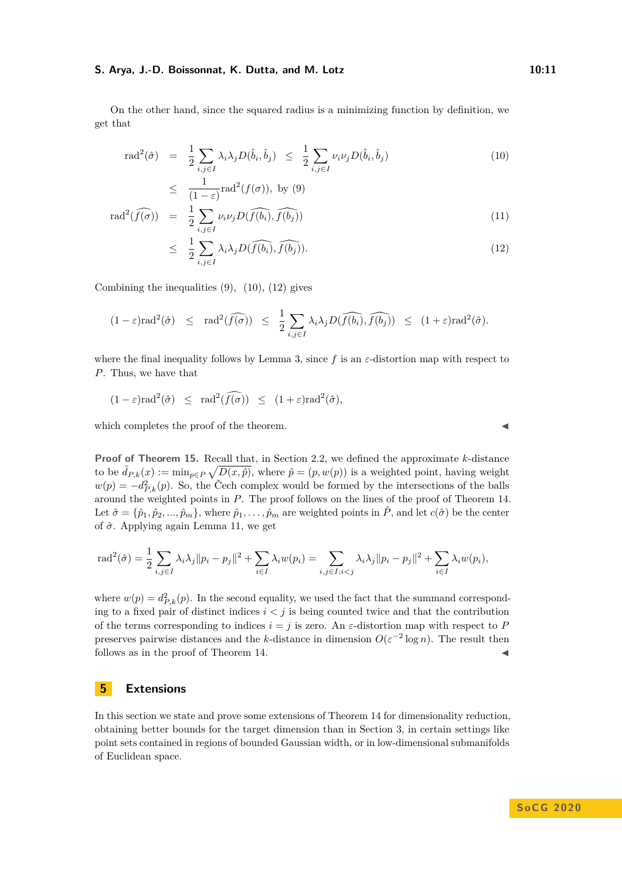#### **S. Arya, J.-D. Boissonnat, K. Dutta, and M. Lotz 10:11** 10:11

On the other hand, since the squared radius is a minimizing function by definition, we get that

<span id="page-10-1"></span>
$$
\text{rad}^2(\hat{\sigma}) = \frac{1}{2} \sum_{i,j \in I} \lambda_i \lambda_j D(\hat{b}_i, \hat{b}_j) \leq \frac{1}{2} \sum_{i,j \in I} \nu_i \nu_j D(\hat{b}_i, \hat{b}_j) \tag{10}
$$

$$
\leq \frac{1}{(1-\varepsilon)} \text{rad}^2(f(\sigma)), \text{ by (9)}
$$

$$
\text{rad}^2(f(\sigma)) = \frac{1}{2} \sum_{i,j \in I} \nu_i \nu_j D(\widehat{f(b_i)}, \widehat{f(b_j)})
$$
(11)

$$
\leq \frac{1}{2} \sum_{i,j \in I} \lambda_i \lambda_j D(\widehat{f(b_i)}, \widehat{f(b_j)}). \tag{12}
$$

Combining the inequalities  $(9)$ ,  $(10)$ ,  $(12)$  gives

$$
(1-\varepsilon)\mathrm{rad}^2(\hat{\sigma}) \leq \mathrm{rad}^2(\widehat{f(\sigma)}) \leq \frac{1}{2}\sum_{i,j\in I}\lambda_i\lambda_jD(\widehat{f(b_i)},\widehat{f(b_j)}) \leq (1+\varepsilon)\mathrm{rad}^2(\hat{\sigma}).
$$

where the final inequality follows by Lemma [3,](#page-3-0) since  $f$  is an  $\varepsilon$ -distortion map with respect to *P*. Thus, we have that

$$
(1 - \varepsilon) \operatorname{rad}^2(\hat{\sigma}) \le \operatorname{rad}^2(\widehat{f(\sigma)}) \le (1 + \varepsilon) \operatorname{rad}^2(\hat{\sigma}),
$$

which completes the proof of the theorem.

**Proof of Theorem [15.](#page-7-4)** Recall that, in Section [2.2,](#page-3-1) we defined the approximate *k*-distance to be  $\tilde{d}_{P,k}(x) := \min_{p \in P} \sqrt{D(x, \hat{p})}$ , where  $\hat{p} = (p, w(p))$  is a weighted point, having weight  $w(p) = -d_{P,k}^2(p)$ . So, the Čech complex would be formed by the intersections of the balls around the weighted points in *P*. The proof follows on the lines of the proof of Theorem [14.](#page-7-3) Let  $\hat{\sigma} = {\hat{p}_1, \hat{p}_2, ..., \hat{p}_m}$ , where  $\hat{p}_1, ..., \hat{p}_m$  are weighted points in  $\hat{P}$ , and let  $c(\hat{\sigma})$  be the center of *σ*ˆ. Applying again Lemma [11,](#page-6-2) we get

$$
\text{rad}^2(\hat{\sigma}) = \frac{1}{2} \sum_{i,j \in I} \lambda_i \lambda_j \|p_i - p_j\|^2 + \sum_{i \in I} \lambda_i w(p_i) = \sum_{i,j \in I; i < j} \lambda_i \lambda_j \|p_i - p_j\|^2 + \sum_{i \in I} \lambda_i w(p_i),
$$

where  $w(p) = d_{P,k}^2(p)$ . In the second equality, we used the fact that the summand corresponding to a fixed pair of distinct indices  $i < j$  is being counted twice and that the contribution of the terms corresponding to indices  $i = j$  is zero. An  $\varepsilon$ -distortion map with respect to P preserves pairwise distances and the *k*-distance in dimension  $O(\varepsilon^{-2} \log n)$ . The result then follows as in the proof of Theorem [14.](#page-7-3)

# <span id="page-10-0"></span>**5 Extensions**

In this section we state and prove some extensions of Theorem [14](#page-7-3) for dimensionality reduction, obtaining better bounds for the target dimension than in Section [3,](#page-7-1) in certain settings like point sets contained in regions of bounded Gaussian width, or in low-dimensional submanifolds of Euclidean space.

**S o C G 2 0 2 0**

$$
\overline{a}
$$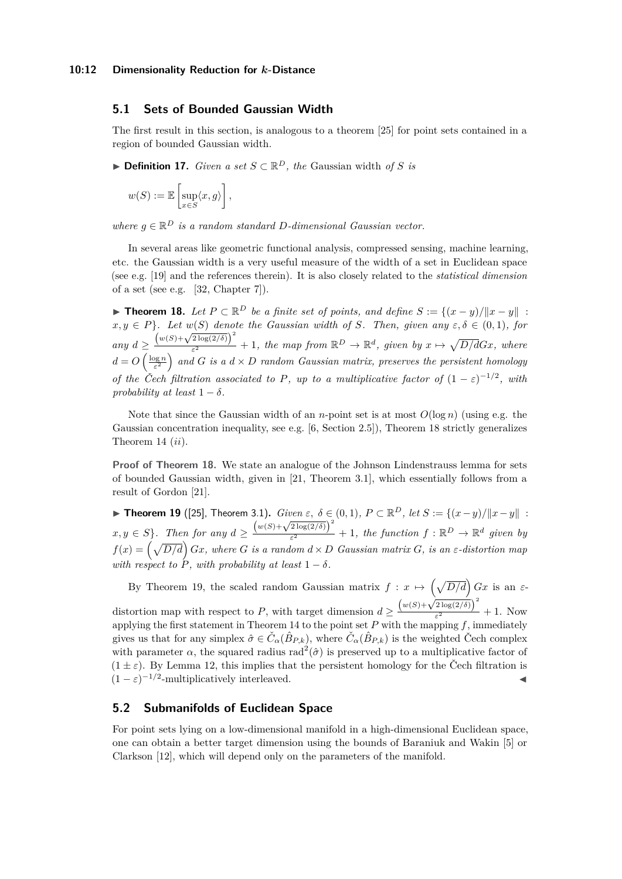# **5.1 Sets of Bounded Gaussian Width**

The first result in this section, is analogous to a theorem [\[25\]](#page-14-8) for point sets contained in a region of bounded Gaussian width.

▶ **Definition 17.** *Given a set*  $S \subset \mathbb{R}^D$ *, the* Gaussian width *of S is* 

$$
w(S) := \mathbb{E}\left[\sup_{x \in S} \langle x, g \rangle\right],
$$

*where*  $g \in \mathbb{R}^D$  *is a random standard D-dimensional Gaussian vector.* 

In several areas like geometric functional analysis, compressed sensing, machine learning, etc. the Gaussian width is a very useful measure of the width of a set in Euclidean space (see e.g. [\[19\]](#page-13-18) and the references therein). It is also closely related to the *statistical dimension* of a set (see e.g. [\[32,](#page-14-9) Chapter 7]).

<span id="page-11-0"></span>▶ **Theorem 18.** *Let*  $P \subset \mathbb{R}^D$  *be a finite set of points, and define*  $S := \{(x - y)/\|x - y\|$ :  $x, y \in P$ *}. Let*  $w(S)$  *denote the Gaussian width of S. Then, given any*  $\varepsilon, \delta \in (0,1)$ *, for*  $\frac{d}{dx}$ <br> *any*  $d \geq \frac{\left(w(S) + \sqrt{2 \log(2/\delta)}\right)^2}{\epsilon^2}$  $\frac{Z \log(2/\delta)}{\epsilon^2}$  + 1*, the map from*  $\mathbb{R}^D \to \mathbb{R}^d$ *, given by*  $x \mapsto \sqrt{D/d}Gx$ *, where*  $d = O\left(\frac{\log n}{\varepsilon^2}\right)$  and *G* is a  $d \times D$  random *Gaussian matrix, preserves the persistent homology of the Čech filtration associated to P, up to a multiplicative factor of*  $(1 - \varepsilon)^{-1/2}$ , with *probability at least*  $1 - \delta$ *.* 

Note that since the Gaussian width of an *n*-point set is at most  $O(\log n)$  (using e.g. the Gaussian concentration inequality, see e.g. [\[6,](#page-13-19) Section 2.5]), Theorem [18](#page-11-0) strictly generalizes Theorem [14](#page-7-3) (*ii*).

**Proof of Theorem [18.](#page-11-0)** We state an analogue of the Johnson Lindenstrauss lemma for sets of bounded Gaussian width, given in [\[21,](#page-13-8) Theorem 3.1], which essentially follows from a result of Gordon [\[21\]](#page-13-8).

<span id="page-11-1"></span>▶ **Theorem 19** ([\[25\]](#page-14-8), Theorem 3.1). *Given*  $\varepsilon$ ,  $\delta \in (0,1)$ ,  $P \subset \mathbb{R}^D$ , let  $S := \{(x-y)/||x-y||$ : **x**, *y* ∈ *S*}. Then for any  $d \ge \frac{(w(S) + \sqrt{2 \log(2/\delta)})^2}{\epsilon^2}$  $\frac{e^{2 \log(2/\theta)}}{e^2} + 1$ , the function  $f : \mathbb{R}^D \to \mathbb{R}^d$  given by  $f(x) = \left(\sqrt{D/d}\right)Gx$ , where *G* is a random  $d \times D$  *Gaussian matrix G*, is an  $\varepsilon$ -distortion map *with respect to*  $\hat{P}$ *, with probability at least*  $1 - \delta$ *.* 

By Theorem [19,](#page-11-1) the scaled random Gaussian matrix  $f: x \mapsto (\sqrt{D/d}) Gx$  is an  $\varepsilon$ distortion map with respect to *P*, with target dimension  $d \geq \frac{(w(S) + \sqrt{2 \log(2/\delta)})^2}{\epsilon^2}$  $\frac{2 \log(2/\sigma)}{\epsilon^2} + 1$ . Now applying the first statement in Theorem [14](#page-7-3) to the point set  $P$  with the mapping  $f$ , immediately gives us that for any simplex  $\hat{\sigma} \in \check{C}_{\alpha}(\hat{B}_{P,k})$ , where  $\check{C}_{\alpha}(\hat{B}_{P,k})$  is the weighted Čech complex with parameter  $\alpha$ , the squared radius rad<sup>2</sup>( $\hat{\sigma}$ ) is preserved up to a multiplicative factor of  $(1 \pm \varepsilon)$ . By Lemma [12,](#page-7-2) this implies that the persistent homology for the Čech filtration is  $(1 - \varepsilon)^{-1/2}$ -multiplicatively interleaved.

# **5.2 Submanifolds of Euclidean Space**

For point sets lying on a low-dimensional manifold in a high-dimensional Euclidean space, one can obtain a better target dimension using the bounds of Baraniuk and Wakin [\[5\]](#page-13-9) or Clarkson [\[12\]](#page-13-10), which will depend only on the parameters of the manifold.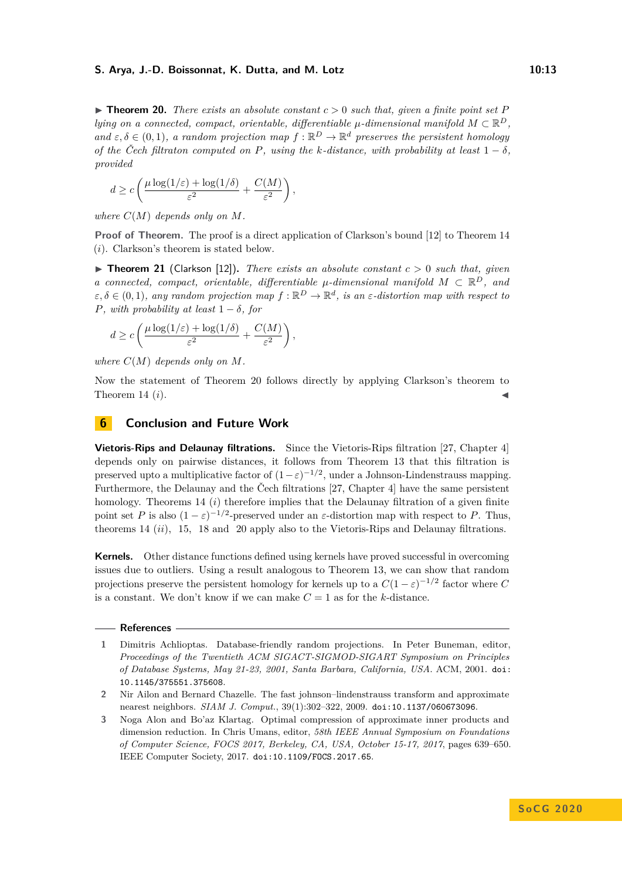### **S. Arya, J.-D. Boissonnat, K. Dutta, and M. Lotz 10:13**

<span id="page-12-4"></span> $\triangleright$  **Theorem 20.** *There exists an absolute constant*  $c > 0$  *such that, given a finite point set P lying on a connected, compact, orientable, differentiable*  $\mu$ -dimensional manifold  $M \subset \mathbb{R}^D$ , and  $\varepsilon, \delta \in (0, 1)$ , a random projection map  $f : \mathbb{R}^D \to \mathbb{R}^d$  preserves the persistent homology *of the Čech filtraton computed on P, using the k-distance, with probability at least*  $1 - \delta$ *, provided*

$$
d \ge c \left( \frac{\mu \log(1/\varepsilon) + \log(1/\delta)}{\varepsilon^2} + \frac{C(M)}{\varepsilon^2} \right),\,
$$

*where*  $C(M)$  *depends only on*  $M$ *.* 

**Proof of Theorem.** The proof is a direct application of Clarkson's bound [\[12\]](#page-13-10) to Theorem [14](#page-7-3) (*i*). Clarkson's theorem is stated below.

 $\triangleright$  **Theorem 21** (Clarkson [\[12\]](#page-13-10)). *There exists an absolute constant*  $c > 0$  *such that, given a* connected, compact, orientable, differentiable  $\mu$ -dimensional manifold  $M \subset \mathbb{R}^D$ , and  $\varepsilon, \delta \in (0, 1)$ , any random projection map  $f : \mathbb{R}^D \to \mathbb{R}^d$ , is an  $\varepsilon$ -distortion map with respect to *P, with probability at least*  $1 - \delta$ *, for* 

$$
d \ge c \left( \frac{\mu \log(1/\varepsilon) + \log(1/\delta)}{\varepsilon^2} + \frac{C(M)}{\varepsilon^2} \right),\,
$$

*where*  $C(M)$  *depends only on*  $M$ *.* 

Now the statement of Theorem [20](#page-12-4) follows directly by applying Clarkson's theorem to Theorem [14](#page-7-3)  $(i)$ .

# <span id="page-12-3"></span>**6 Conclusion and Future Work**

**Vietoris-Rips and Delaunay filtrations.** Since the Vietoris-Rips filtration [\[27,](#page-14-10) Chapter 4] depends only on pairwise distances, it follows from Theorem [13](#page-7-0) that this filtration is preserved upto a multiplicative factor of  $(1-\varepsilon)^{-1/2}$ , under a Johnson-Lindenstrauss mapping. Furthermore, the Delaunay and the Čech filtrations [\[27,](#page-14-10) Chapter 4] have the same persistent homology. Theorems [14](#page-7-3) *(i)* therefore implies that the Delaunay filtration of a given finite point set *P* is also  $(1 - \varepsilon)^{-1/2}$ -preserved under an  $\varepsilon$ -distortion map with respect to *P*. Thus, theorems [14](#page-7-3) (*ii*), [15,](#page-7-4) [18](#page-11-0) and [20](#page-12-4) apply also to the Vietoris-Rips and Delaunay filtrations.

**Kernels.** Other distance functions defined using kernels have proved successful in overcoming issues due to outliers. Using a result analogous to Theorem [13,](#page-7-0) we can show that random projections preserve the persistent homology for kernels up to a  $C(1-\varepsilon)^{-1/2}$  factor where C is a constant. We don't know if we can make  $C = 1$  as for the *k*-distance.

#### **References**

<span id="page-12-0"></span>**1** Dimitris Achlioptas. Database-friendly random projections. In Peter Buneman, editor, *Proceedings of the Twentieth ACM SIGACT-SIGMOD-SIGART Symposium on Principles of Database Systems, May 21-23, 2001, Santa Barbara, California, USA*. ACM, 2001. [doi:](https://doi.org/10.1145/375551.375608) [10.1145/375551.375608](https://doi.org/10.1145/375551.375608).

<span id="page-12-1"></span>**<sup>2</sup>** Nir Ailon and Bernard Chazelle. The fast johnson–lindenstrauss transform and approximate nearest neighbors. *SIAM J. Comput.*, 39(1):302–322, 2009. [doi:10.1137/060673096](https://doi.org/10.1137/060673096).

<span id="page-12-2"></span>**<sup>3</sup>** Noga Alon and Bo'az Klartag. Optimal compression of approximate inner products and dimension reduction. In Chris Umans, editor, *58th IEEE Annual Symposium on Foundations of Computer Science, FOCS 2017, Berkeley, CA, USA, October 15-17, 2017*, pages 639–650. IEEE Computer Society, 2017. [doi:10.1109/FOCS.2017.65](https://doi.org/10.1109/FOCS.2017.65).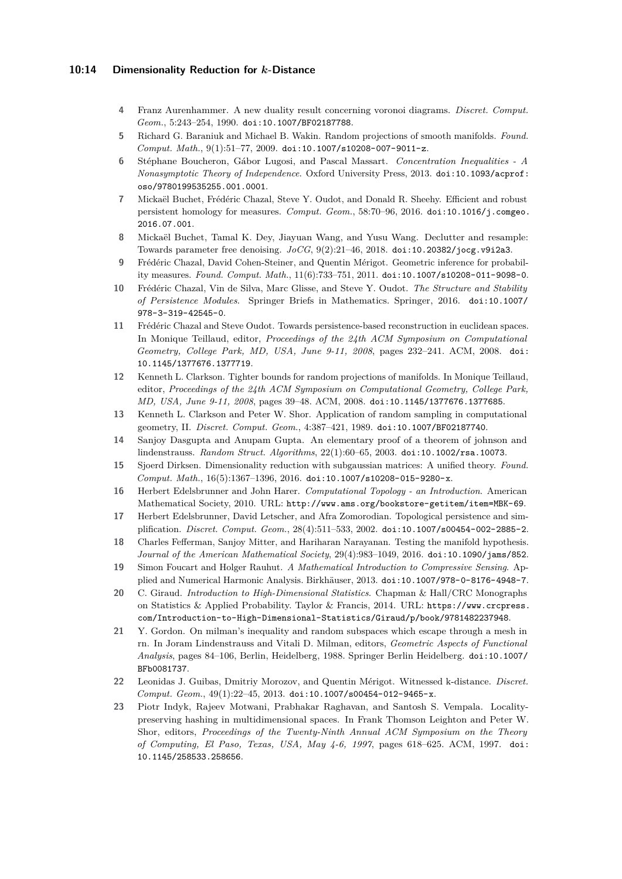# **10:14 Dimensionality Reduction for** *k***-Distance**

- <span id="page-13-12"></span>**4** Franz Aurenhammer. A new duality result concerning voronoi diagrams. *Discret. Comput. Geom.*, 5:243–254, 1990. [doi:10.1007/BF02187788](https://doi.org/10.1007/BF02187788).
- <span id="page-13-9"></span>**5** Richard G. Baraniuk and Michael B. Wakin. Random projections of smooth manifolds. *Found. Comput. Math.*, 9(1):51–77, 2009. [doi:10.1007/s10208-007-9011-z](https://doi.org/10.1007/s10208-007-9011-z).
- <span id="page-13-19"></span>**6** Stéphane Boucheron, Gábor Lugosi, and Pascal Massart. *Concentration Inequalities - A Nonasymptotic Theory of Independence*. Oxford University Press, 2013. [doi:10.1093/acprof:](https://doi.org/10.1093/acprof:oso/9780199535255.001.0001) [oso/9780199535255.001.0001](https://doi.org/10.1093/acprof:oso/9780199535255.001.0001).
- <span id="page-13-2"></span>**7** Mickaël Buchet, Frédéric Chazal, Steve Y. Oudot, and Donald R. Sheehy. Efficient and robust persistent homology for measures. *Comput. Geom.*, 58:70–96, 2016. [doi:10.1016/j.comgeo.](https://doi.org/10.1016/j.comgeo.2016.07.001) [2016.07.001](https://doi.org/10.1016/j.comgeo.2016.07.001).
- <span id="page-13-3"></span>**8** Mickaël Buchet, Tamal K. Dey, Jiayuan Wang, and Yusu Wang. Declutter and resample: Towards parameter free denoising. *JoCG*, 9(2):21–46, 2018. [doi:10.20382/jocg.v9i2a3](https://doi.org/10.20382/jocg.v9i2a3).
- <span id="page-13-0"></span>**9** Frédéric Chazal, David Cohen-Steiner, and Quentin Mérigot. Geometric inference for probability measures. *Found. Comput. Math.*, 11(6):733–751, 2011. [doi:10.1007/s10208-011-9098-0](https://doi.org/10.1007/s10208-011-9098-0).
- <span id="page-13-16"></span>**10** Frédéric Chazal, Vin de Silva, Marc Glisse, and Steve Y. Oudot. *The Structure and Stability of Persistence Modules*. Springer Briefs in Mathematics. Springer, 2016. [doi:10.1007/](https://doi.org/10.1007/978-3-319-42545-0) [978-3-319-42545-0](https://doi.org/10.1007/978-3-319-42545-0).
- <span id="page-13-17"></span>**11** Frédéric Chazal and Steve Oudot. Towards persistence-based reconstruction in euclidean spaces. In Monique Teillaud, editor, *Proceedings of the 24th ACM Symposium on Computational Geometry, College Park, MD, USA, June 9-11, 2008*, pages 232–241. ACM, 2008. [doi:](https://doi.org/10.1145/1377676.1377719) [10.1145/1377676.1377719](https://doi.org/10.1145/1377676.1377719).
- <span id="page-13-10"></span>**12** Kenneth L. Clarkson. Tighter bounds for random projections of manifolds. In Monique Teillaud, editor, *Proceedings of the 24th ACM Symposium on Computational Geometry, College Park, MD, USA, June 9-11, 2008*, pages 39–48. ACM, 2008. [doi:10.1145/1377676.1377685](https://doi.org/10.1145/1377676.1377685).
- <span id="page-13-13"></span>**13** Kenneth L. Clarkson and Peter W. Shor. Application of random sampling in computational geometry, II. *Discret. Comput. Geom.*, 4:387–421, 1989. [doi:10.1007/BF02187740](https://doi.org/10.1007/BF02187740).
- <span id="page-13-6"></span>**14** Sanjoy Dasgupta and Anupam Gupta. An elementary proof of a theorem of johnson and lindenstrauss. *Random Struct. Algorithms*, 22(1):60–65, 2003. [doi:10.1002/rsa.10073](https://doi.org/10.1002/rsa.10073).
- <span id="page-13-7"></span>**15** Sjoerd Dirksen. Dimensionality reduction with subgaussian matrices: A unified theory. *Found. Comput. Math.*, 16(5):1367–1396, 2016. [doi:10.1007/s10208-015-9280-x](https://doi.org/10.1007/s10208-015-9280-x).
- <span id="page-13-15"></span>**16** Herbert Edelsbrunner and John Harer. *Computational Topology - an Introduction*. American Mathematical Society, 2010. URL: <http://www.ams.org/bookstore-getitem/item=MBK-69>.
- <span id="page-13-14"></span>**17** Herbert Edelsbrunner, David Letscher, and Afra Zomorodian. Topological persistence and simplification. *Discret. Comput. Geom.*, 28(4):511–533, 2002. [doi:10.1007/s00454-002-2885-2](https://doi.org/10.1007/s00454-002-2885-2).
- <span id="page-13-11"></span>**18** Charles Fefferman, Sanjoy Mitter, and Hariharan Narayanan. Testing the manifold hypothesis. *Journal of the American Mathematical Society*, 29(4):983–1049, 2016. [doi:10.1090/jams/852](https://doi.org/10.1090/jams/852).
- <span id="page-13-18"></span>**19** Simon Foucart and Holger Rauhut. *A Mathematical Introduction to Compressive Sensing*. Applied and Numerical Harmonic Analysis. Birkhäuser, 2013. [doi:10.1007/978-0-8176-4948-7](https://doi.org/10.1007/978-0-8176-4948-7).
- <span id="page-13-4"></span>**20** C. Giraud. *Introduction to High-Dimensional Statistics*. Chapman & Hall/CRC Monographs on Statistics & Applied Probability. Taylor & Francis, 2014. URL: [https://www.crcpress.](https://www.crcpress.com/Introduction-to-High-Dimensional-Statistics/Giraud/p/book/9781482237948) [com/Introduction-to-High-Dimensional-Statistics/Giraud/p/book/9781482237948](https://www.crcpress.com/Introduction-to-High-Dimensional-Statistics/Giraud/p/book/9781482237948).
- <span id="page-13-8"></span>**21** Y. Gordon. On milman's inequality and random subspaces which escape through a mesh in rn. In Joram Lindenstrauss and Vitali D. Milman, editors, *Geometric Aspects of Functional Analysis*, pages 84–106, Berlin, Heidelberg, 1988. Springer Berlin Heidelberg. [doi:10.1007/](https://doi.org/10.1007/BFb0081737) [BFb0081737](https://doi.org/10.1007/BFb0081737).
- <span id="page-13-1"></span>**22** Leonidas J. Guibas, Dmitriy Morozov, and Quentin Mérigot. Witnessed k-distance. *Discret. Comput. Geom.*, 49(1):22–45, 2013. [doi:10.1007/s00454-012-9465-x](https://doi.org/10.1007/s00454-012-9465-x).
- <span id="page-13-5"></span>**23** Piotr Indyk, Rajeev Motwani, Prabhakar Raghavan, and Santosh S. Vempala. Localitypreserving hashing in multidimensional spaces. In Frank Thomson Leighton and Peter W. Shor, editors, *Proceedings of the Twenty-Ninth Annual ACM Symposium on the Theory of Computing, El Paso, Texas, USA, May 4-6, 1997*, pages 618–625. ACM, 1997. [doi:](https://doi.org/10.1145/258533.258656) [10.1145/258533.258656](https://doi.org/10.1145/258533.258656).